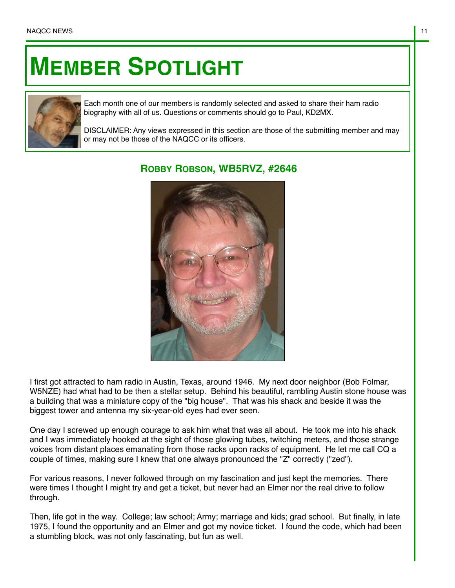## **MEMBER SPOTLIGHT**



Each month one of our members is randomly selected and asked to share their ham radio biography with all of us. Questions or comments should go to Paul, KD2MX.

DISCLAIMER: Any views expressed in this section are those of the submitting member and may or may not be those of the NAQCC or its officers.



## **ROBBY ROBSON, WB5RVZ, #2646**

I first got attracted to ham radio in Austin, Texas, around 1946. My next door neighbor (Bob Folmar, W5NZE) had what had to be then a stellar setup. Behind his beautiful, rambling Austin stone house was a building that was a miniature copy of the "big house". That was his shack and beside it was the biggest tower and antenna my six-year-old eyes had ever seen.

One day I screwed up enough courage to ask him what that was all about. He took me into his shack and I was immediately hooked at the sight of those glowing tubes, twitching meters, and those strange voices from distant places emanating from those racks upon racks of equipment. He let me call CQ a couple of times, making sure I knew that one always pronounced the "Z" correctly ("zed").

For various reasons, I never followed through on my fascination and just kept the memories. There were times I thought I might try and get a ticket, but never had an Elmer nor the real drive to follow through.

Then, life got in the way. College; law school; Army; marriage and kids; grad school. But finally, in late 1975, I found the opportunity and an Elmer and got my novice ticket. I found the code, which had been a stumbling block, was not only fascinating, but fun as well.